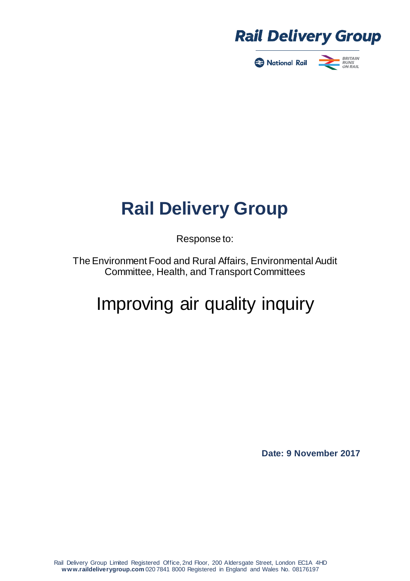

National Rail



# **Rail Delivery Group**

Response to:

The Environment Food and Rural Affairs, Environmental Audit Committee, Health, and Transport Committees

# Improving air quality inquiry

**Date: 9 November 2017**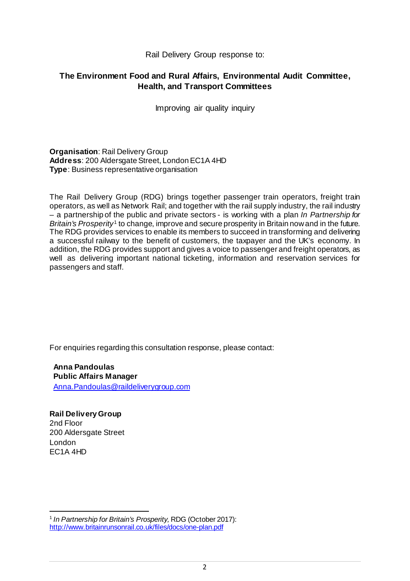Rail Delivery Group response to:

#### **The Environment Food and Rural Affairs, Environmental Audit Committee, Health, and Transport Committees**

Improving air quality inquiry

**Organisation**: Rail Delivery Group Address: 200 Aldersgate Street, London EC1A 4HD **Type**: Business representative organisation

The Rail Delivery Group (RDG) brings together passenger train operators, freight train operators, as well as Network Rail; and together with the rail supply industry, the rail industry – a partnership of the public and private sectors - is working with a plan *In Partnership for Britain's Prosperity*[1](#page-1-0) to change, improve and secure prosperity in Britain now and in the future. The RDG provides services to enable its members to succeed in transforming and delivering a successful railway to the benefit of customers, the taxpayer and the UK's economy. In addition, the RDG provides support and gives a voice to passenger and freight operators, as well as delivering important national ticketing, information and reservation services for passengers and staff.

For enquiries regarding this consultation response, please contact:

**Anna Pandoulas Public Affairs Manager** [Anna.Pandoulas@raildeliverygroup.com](mailto:Anna.Pandoulas@raildeliverygroup.com)

**Rail Delivery Group** 2nd Floor 200 Aldersgate Street London EC1A 4HD

1

<span id="page-1-0"></span><sup>1</sup> *In Partnership for Britain's Prosperity,* RDG (October 2017): <http://www.britainrunsonrail.co.uk/files/docs/one-plan.pdf>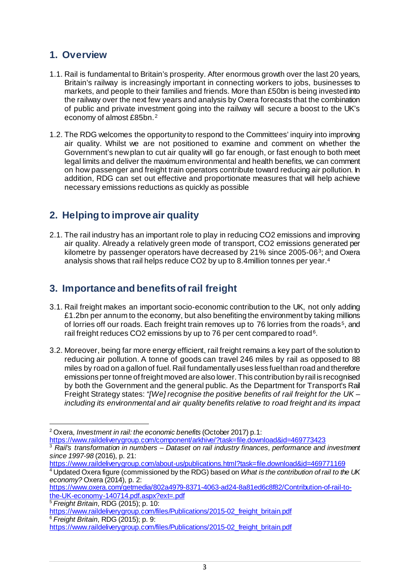### **1. Overview**

- 1.1. Rail is fundamental to Britain's prosperity. After enormous growth over the last 20 years, Britain's railway is increasingly important in connecting workers to jobs, businesses to markets, and people to their families and friends. More than £50bn is being invested into the railway over the next few years and analysis by Oxera forecasts that the combination of public and private investment going into the railway will secure a boost to the UK's economy of almost £85bn.[2](#page-2-0)
- 1.2. The RDG welcomes the opportunity to respond to the Committees' inquiry into improving air quality. Whilst we are not positioned to examine and comment on whether the Government's new plan to cut air quality will go far enough, or fast enough to both meet legal limits and deliver the maximum environmental and health benefits, we can comment on how passenger and freight train operators contribute toward reducing air pollution. In addition, RDG can set out effective and proportionate measures that will help achieve necessary emissions reductions as quickly as possible

## **2. Helping to improve air quality**

2.1. The rail industry has an important role to play in reducing CO2 emissions and improving air quality. Already a relatively green mode of transport, CO2 emissions generated per kilometre by passenger operators have decreased by 21% since 2005-06<sup>[3](#page-2-1)</sup>; and Oxera analysis shows that rail helps reduce CO2 by up to 8.4million tonnes per year.[4](#page-2-2)

## **3. Importance and benefits of rail freight**

- 3.1. Rail freight makes an important socio-economic contribution to the UK, not only adding  $£1.2$ bn per annum to the economy, but also benefiting the environment by taking millions of lorries off our roads. Each freight train removes up to 76 lorries from the roads<sup>[5](#page-2-3)</sup>, and rail freight reduces CO2 emissions by up to 7[6](#page-2-4) per cent compared to road<sup>6</sup>.
- 3.2. Moreover, being far more energy efficient, rail freight remains a key part of the solution to reducing air pollution. A tonne of goods can travel 246 miles by rail as opposed to 88 miles by road on a gallon of fuel. Rail fundamentally uses less fuel than road and therefore emissions per tonne of freight moved are also lower. This contribution by rail is recognised by both the Government and the general public. As the Department for Transport's Rail Freight Strategy states: *"[We] recognise the positive benefits of rail freight for the UK – including its environmental and air quality benefits relative to road freight and its impact*

<span id="page-2-3"></span><sup>5</sup> *Freight Britain*, RDG (2015); p. 10:

<span id="page-2-0"></span><sup>1</sup> <sup>2</sup> Oxera, *[Investment in rail: the economic benefits](https://www.raildeliverygroup.com/about-us/publications.html?task=file.download&id=469773423)* (October 2017) p.1: <https://www.raildeliverygroup.com/component/arkhive/?task=file.download&id=469773423>

<span id="page-2-1"></span><sup>3</sup> *Rail's transformation in numbers – Dataset on rail industry finances, performance and investment since 1997-98* (2016), p. 21:

<https://www.raildeliverygroup.com/about-us/publications.html?task=file.download&id=469771169>

<span id="page-2-2"></span><sup>4</sup> Updated Oxera figure (commissioned by the RDG) based on *What is the contribution of rail to the UK economy?* Oxera (2014), p. 2:

[https://www.oxera.com/getmedia/802a4979-8371-4063-ad24-8a81ed6c8f82/Contribution-of-rail-to](https://www.oxera.com/getmedia/802a4979-8371-4063-ad24-8a81ed6c8f82/Contribution-of-rail-to-the-UK-economy-140714.pdf.aspx?ext=.pdf)[the-UK-economy-140714.pdf.aspx?ext=.pdf](https://www.oxera.com/getmedia/802a4979-8371-4063-ad24-8a81ed6c8f82/Contribution-of-rail-to-the-UK-economy-140714.pdf.aspx?ext=.pdf)

[https://www.raildeliverygroup.com/files/Publications/2015-02\\_freight\\_britain.pdf](https://www.raildeliverygroup.com/files/Publications/2015-02_freight_britain.pdf) <sup>6</sup> *Freight Britain*, RDG (2015); p. 9:

<span id="page-2-4"></span>[https://www.raildeliverygroup.com/files/Publications/2015-02\\_freight\\_britain.pdf](https://www.raildeliverygroup.com/files/Publications/2015-02_freight_britain.pdf)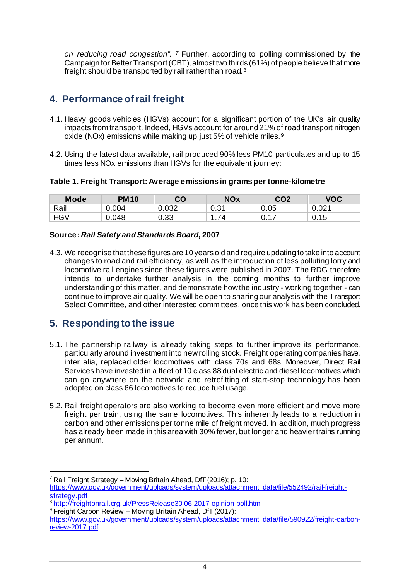*on reducing road congestion". [7](#page-3-0)* Further, according to polling commissioned by the Campaign for Better Transport (CBT), almost two thirds (61%) of people believe that more freight should be transported by rail rather than road. [8](#page-3-1)

## **4. Performance of rail freight**

- 4.1. Heavy goods vehicles (HGVs) account for a significant portion of the UK's air quality impacts from transport. Indeed, HGVs account for around 21% of road transport nitrogen oxide (NOx) emissions while making up just 5% of vehicle miles.<sup>[9](#page-3-2)</sup>
- 4.2. Using the latest data available, rail produced 90% less PM10 particulates and up to 15 times less NOx emissions than HGVs for the equivalent journey:

#### **Table 1. Freight Transport: Average emissions in grams per tonne-kilometre**

| <b>Mode</b> | PM10     | CO    | <b>NOx</b> | CO2         | <b>VOC</b> |
|-------------|----------|-------|------------|-------------|------------|
| Rail        | ۔ 004. ر | 0.032 | 0.31       | 0.05        | 0.021      |
| ⊣G∨         | 0.048    | 0.33  | 74         | <b>U.II</b> | 0.15       |

#### **Source:** *Rail Safety and Standards Board***, 2007**

4.3. We recognise that these figures are 10 years old and require updating to take into account changes to road and rail efficiency, as well as the introduction of less polluting lorry and locomotive rail engines since these figures were published in 2007. The RDG therefore intends to undertake further analysis in the coming months to further improve understanding of this matter, and demonstrate how the industry - working together - can continue to improve air quality. We will be open to sharing our analysis with the Transport Select Committee, and other interested committees, once this work has been concluded.

#### **5. Responding to the issue**

- 5.1. The partnership railway is already taking steps to further improve its performance, particularly around investment into new rolling stock. Freight operating companies have, inter alia, replaced older locomotives with class 70s and 68s. Moreover, Direct Rail Services have invested in a fleet of 10 class 88 dual electric and diesel locomotives which can go anywhere on the network; and retrofitting of start-stop technology has been adopted on class 66 locomotives to reduce fuel usage.
- 5.2. Rail freight operators are also working to become even more efficient and move more freight per train, using the same locomotives. This inherently leads to a reduction in carbon and other emissions per tonne mile of freight moved. In addition, much progress has already been made in this area with 30% fewer, but longer and heavier trains running per annum.

<span id="page-3-0"></span><sup>1</sup> <sup>7</sup> Rail Freight Strategy – Moving Britain Ahead, DfT (2016); p. 10:

[https://www.gov.uk/government/uploads/system/uploads/attachment\\_data/file/552492/rail-freight](https://www.gov.uk/government/uploads/system/uploads/attachment_data/file/552492/rail-freight-strategy.pdf)[strategy.pdf](https://www.gov.uk/government/uploads/system/uploads/attachment_data/file/552492/rail-freight-strategy.pdf)

<sup>&</sup>lt;sup>8</sup> <http://freightonrail.org.uk/PressRelease30-06-2017-opinion-poll.htm>

<span id="page-3-2"></span><span id="page-3-1"></span><sup>&</sup>lt;sup>9</sup> Freight Carbon Review – Moving Britain Ahead, DfT (2017):

[https://www.gov.uk/government/uploads/system/uploads/attachment\\_data/file/590922/freight-carbon](https://www.gov.uk/government/uploads/system/uploads/attachment_data/file/590922/freight-carbon-review-2017.pdf)[review-2017.pdf.](https://www.gov.uk/government/uploads/system/uploads/attachment_data/file/590922/freight-carbon-review-2017.pdf)